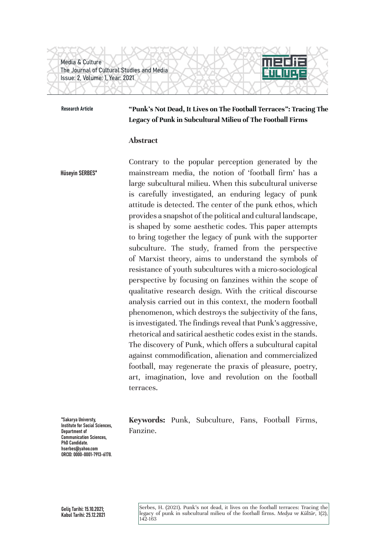Media & Culture The Journal of Cultural Studies and Media Issue: 2, Volume: 1, Year: 2021

#### Research Article

**"Punk's Not Dead, It Lives on The Football Terraces": Tracing The Legacy of Punk in Subcultural Milieu of The Football Firms**

### **Abstract**

Contrary to the popular perception generated by the mainstream media, the notion of 'football firm' has a large subcultural milieu. When this subcultural universe is carefully investigated, an enduring legacy of punk attitude is detected. The center of the punk ethos, which provides a snapshot of the political and cultural landscape, is shaped by some aesthetic codes. This paper attempts to bring together the legacy of punk with the supporter subculture. The study, framed from the perspective of Marxist theory, aims to understand the symbols of resistance of youth subcultures with a micro-sociological perspective by focusing on fanzines within the scope of qualitative research design. With the critical discourse analysis carried out in this context, the modern football phenomenon, which destroys the subjectivity of the fans, is investigated. The findings reveal that Punk's aggressive, rhetorical and satirical aesthetic codes exist in the stands. The discovery of Punk, which offers a subcultural capital against commodification, alienation and commercialized football, may regenerate the praxis of pleasure, poetry, art, imagination, love and revolution on the football terraces. Hüseyin SERBES\*

\*Sakarya Universty, Institute for Social Sciences, Department of Communication Sciences, PhD Candidate. hserbes@yahoo.com ORCID: 0000-0001-7913-6178. **Keywords:** Punk, Subculture, Fans, Football Firms, Fanzine.

Serbes, H. (2021). Punk's not dead, it lives on the football terraces: Tracing the<br>legacy of punk in subcultural milieu of the football firms. *Medya ve Kültür*, 1(2),<br>142-163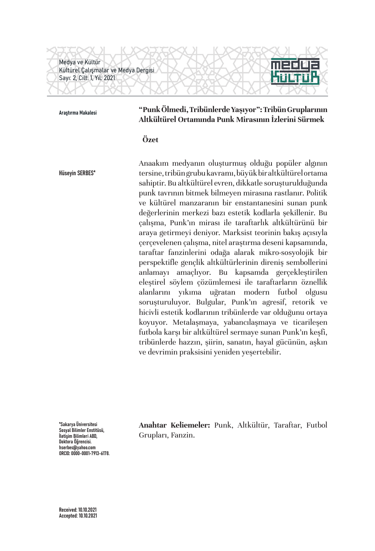Medya ve Kültür Kültürel Çalışmalar ve Medya Dergisi Sayı: 2, Cilt: 1, Yıl: 2021

## Araştırma Makalesi **"Punk Ölmedi, Tribünlerde Yaşıyor": Tribün Gruplarının Altkültürel Ortamında Punk Mirasının İzlerini Sürmek**

### **Özet**

Hüseyin SERBES\*

Anaakım medyanın oluşturmuş olduğu popüler algının tersine, tribün grubu kavramı, büyük bir altkültürel ortama sahiptir. Bu altkültürel evren, dikkatle soruşturulduğunda punk tavrının bitmek bilmeyen mirasına rastlanır. Politik ve kültürel manzaranın bir enstantanesini sunan punk değerlerinin merkezi bazı estetik kodlarla şekillenir. Bu çalışma, Punk'ın mirası ile taraftarlık altkültürünü bir araya getirmeyi deniyor. Marksist teorinin bakış açısıyla çerçevelenen çalışma, nitel araştırma deseni kapsamında, taraftar fanzinlerini odağa alarak mikro-sosyolojik bir perspektifle gençlik altkültürlerinin direniş sembollerini anlamayı amaçlıyor. Bu kapsamda gerçekleştirilen eleştirel söylem çözümlemesi ile taraftarların öznellik alanlarını yıkıma uğratan modern futbol olgusu soruşturuluyor. Bulgular, Punk'ın agresif, retorik ve hicivli estetik kodlarının tribünlerde var olduğunu ortaya koyuyor. Metalaşmaya, yabancılaşmaya ve ticarileşen futbola karşı bir altkültürel sermaye sunan Punk'ın keşfi, tribünlerde hazzın, şiirin, sanatın, hayal gücünün, aşkın ve devrimin praksisini yeniden yeşertebilir.

\*Sakarya Üniversitesi Sosyal Bilimler Enstitüsü, İletişim Bilimleri ABD, Doktora Öğrencisi. hserbes@yahoo.com ORCID: 0000-0001-7913-6178. **Anahtar Keliemeler:** Punk, Altkültür, Taraftar, Futbol Grupları, Fanzin.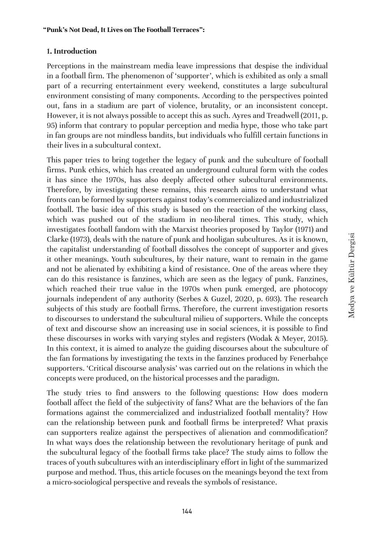## **1. Introduction**

Perceptions in the mainstream media leave impressions that despise the individual in a football firm. The phenomenon of 'supporter', which is exhibited as only a small part of a recurring entertainment every weekend, constitutes a large subcultural environment consisting of many components. According to the perspectives pointed out, fans in a stadium are part of violence, brutality, or an inconsistent concept. However, it is not always possible to accept this as such. Ayres and Treadwell (2011, p. 95) inform that contrary to popular perception and media hype, those who take part in fan groups are not mindless bandits, but individuals who fulfill certain functions in their lives in a subcultural context.

This paper tries to bring together the legacy of punk and the subculture of football firms. Punk ethics, which has created an underground cultural form with the codes it has since the 1970s, has also deeply affected other subcultural environments. Therefore, by investigating these remains, this research aims to understand what fronts can be formed by supporters against today's commercialized and industrialized football. The basic idea of this study is based on the reaction of the working class, which was pushed out of the stadium in neo-liberal times. This study, which investigates football fandom with the Marxist theories proposed by Taylor (1971) and Clarke (1973), deals with the nature of punk and hooligan subcultures. As it is known, the capitalist understanding of football dissolves the concept of supporter and gives it other meanings. Youth subcultures, by their nature, want to remain in the game and not be alienated by exhibiting a kind of resistance. One of the areas where they can do this resistance is fanzines, which are seen as the legacy of punk. Fanzines, which reached their true value in the 1970s when punk emerged, are photocopy journals independent of any authority (Serbes & Guzel, 2020, p. 693). The research subjects of this study are football firms. Therefore, the current investigation resorts to discourses to understand the subcultural milieu of supporters. While the concepts of text and discourse show an increasing use in social sciences, it is possible to find these discourses in works with varying styles and registers (Wodak & Meyer, 2015). In this context, it is aimed to analyze the guiding discourses about the subculture of the fan formations by investigating the texts in the fanzines produced by Fenerbahçe supporters. 'Critical discourse analysis' was carried out on the relations in which the concepts were produced, on the historical processes and the paradigm.

The study tries to find answers to the following questions: How does modern football affect the field of the subjectivity of fans? What are the behaviors of the fan formations against the commercialized and industrialized football mentality? How can the relationship between punk and football firms be interpreted? What praxis can supporters realize against the perspectives of alienation and commodification? In what ways does the relationship between the revolutionary heritage of punk and the subcultural legacy of the football firms take place? The study aims to follow the traces of youth subcultures with an interdisciplinary effort in light of the summarized purpose and method. Thus, this article focuses on the meanings beyond the text from a micro-sociological perspective and reveals the symbols of resistance.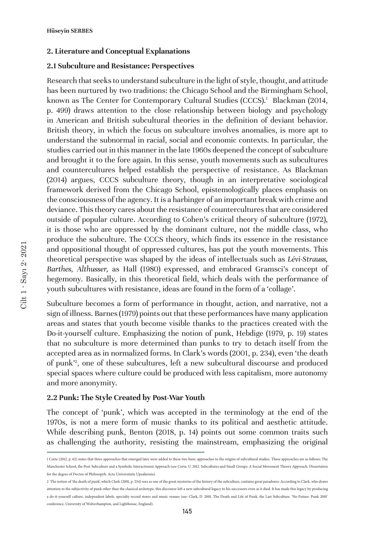### **2. Literature and Conceptual Explanations**

### **2.1 Subculture and Resistance: Perspectives**

Research that seeks to understand subculture in the light of style, thought, and attitude has been nurtured by two traditions: the Chicago School and the Birmingham School, known as The Center for Contemporary Cultural Studies (CCCS).1 Blackman (2014, p. 499) draws attention to the close relationship between biology and psychology in American and British subcultural theories in the definition of deviant behavior. British theory, in which the focus on subculture involves anomalies, is more apt to understand the subnormal in racial, social and economic contexts. In particular, the studies carried out in this manner in the late 1960s deepened the concept of subculture and brought it to the fore again. In this sense, youth movements such as subcultures and countercultures helped establish the perspective of resistance. As Blackman (2014) argues, CCCS subculture theory, though in an interpretative sociological framework derived from the Chicago School, epistemologically places emphasis on the consciousness of the agency. It is a harbinger of an important break with crime and deviance. This theory cares about the resistance of countercultures that are considered outside of popular culture. According to Cohen's critical theory of subculture (1972), it is those who are oppressed by the dominant culture, not the middle class, who produce the subculture. The CCCS theory, which finds its essence in the resistance and oppositional thought of oppressed cultures, has put the youth movements. This theoretical perspective was shaped by the ideas of intellectuals such as *Lévi-Strauss, Barthes, Althusser,* as Hall (1980) expressed, and embraced Gramsci's concept of hegemony. Basically, in this theoretical field, which deals with the performance of youth subcultures with resistance, ideas are found in the form of a 'collage'.

Subculture becomes a form of performance in thought, action, and narrative, not a sign of illness. Barnes (1979) points out that these performances have many application areas and states that youth become visible thanks to the practices created with the Do-it-yourself culture. Emphasizing the notion of punk, Hebdige (1979, p. 19) states that no subculture is more determined than punks to try to detach itself from the accepted area as in normalized forms. In Clark's words (2001, p. 234), even 'the death of punk'<sup>2</sup> , one of these subcultures, left a new subcultural discourse and produced special spaces where culture could be produced with less capitalism, more autonomy and more anonymity.

### **2.2 Punk: The Style Created by Post-War Youth**

The concept of 'punk', which was accepted in the terminology at the end of the 1970s, is not a mere form of music thanks to its political and aesthetic attitude. While describing punk, Benton (2018, p. 14) points out some common traits such as challenging the authority, resisting the mainstream, emphasizing the original

<sup>1</sup> Corte (2012, p. 62) states that three approaches that emerged later were added to these two basic approaches to the origins of subcultural studies. These approaches are as follows: The Manchester School, the Post-Subculture and a Symbolic Interactionist Approach (see Corte, U. 2012. Subcultures and Small Groups: A Social Movement Theory Approach. Dissertation for the degree of Doctor of Philosopyh. Acta Universitatis Upsaliensis).

<sup>2</sup> The notion of 'the death of punk', which Clark (2001, p. 234) sees as one of the great mysteries of the history of the subculture, contains great paradoxes: According to Clark, who draws attention to the subjectivity of punk other than the classical archetype, this discourse left a new subcultural legacy to his successors even as it died. It has made this legacy by producing a do-it-yourself culture, independent labels, specialty record stores and music venues (see: Clark, D. 2001. The Death and Life of Punk, the Last Subculture. 'No-Future: Punk 2001' conference, University of Wolverhampton, and Lighthouse, England).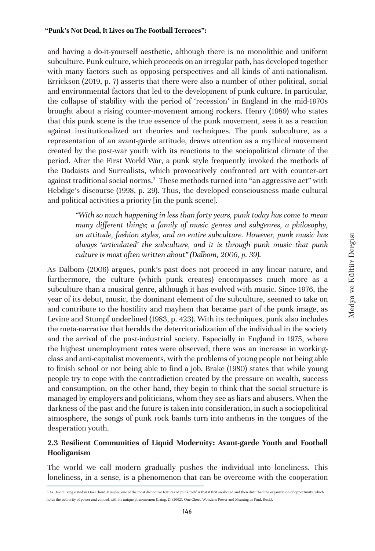and having a do-it-yourself aesthetic, although there is no monolithic and uniform subculture. Punk culture, which proceeds on an irregular path, has developed together with many factors such as opposing perspectives and all kinds of anti-nationalism. Errickson (2019, p. 7) asserts that there were also a number of other political, social and environmental factors that led to the development of punk culture. In particular, the collapse of stability with the period of 'recession' in England in the mid-1970s brought about a rising counter-movement among rockers. Henry (1989) who states that this punk scene is the true essence of the punk movement, sees it as a reaction against institutionalized art theories and techniques. The punk subculture, as a representation of an avant-garde attitude, draws attention as a mythical movement created by the post-war youth with its reactions to the sociopolitical climate of the period. After the First World War, a punk style frequently invoked the methods of the Dadaists and Surrealists, which provocatively confronted art with counter-art against traditional social norms.<sup>3</sup> These methods turned into "an aggressive act" with Hebdige's discourse (1998, p. 29). Thus, the developed consciousness made cultural and political activities a priority [in the punk scene].

*"With so much happening in less than forty years, punk today has come to mean many different things; a family of music genres and subgenres, a philosophy, an attitude, fashion styles, and an entire subculture. However, punk music has always 'articulated' the subculture, and it is through punk music that punk culture is most often written about" (Dalbom, 2006, p. 39).*

As Dalbom (2006) argues, punk's past does not proceed in any linear nature, and furthermore, the culture (which punk creates) encompasses much more as a subculture than a musical genre, although it has evolved with music. Since 1976, the year of its debut, music, the dominant element of the subculture, seemed to take on and contribute to the hostility and mayhem that became part of the punk image, as Levine and Stumpf underlined (1983, p. 423). With its techniques, punk also includes the meta-narrative that heralds the deterritorialization of the individual in the society and the arrival of the post-industrial society. Especially in England in 1975, where the highest unemployment rates were observed, there was an increase in workingclass and anti-capitalist movements, with the problems of young people not being able to finish school or not being able to find a job. Brake (1980) states that while young people try to cope with the contradiction created by the pressure on wealth, success and consumption, on the other hand, they begin to think that the social structure is managed by employers and politicians, whom they see as liars and abusers. When the darkness of the past and the future is taken into consideration, in such a sociopolitical atmosphere, the songs of punk rock bands turn into anthems in the tongues of the desperation youth.

# **2.3 Resilient Communities of Liquid Modernity: Avant-garde Youth and Football Hooliganism**

The world we call modern gradually pushes the individual into loneliness. This loneliness, in a sense, is a phenomenon that can be overcome with the cooperation

<sup>3</sup> As David Laing stated in One Chord Miracles, one of the most distinctive features of 'punk rock' is that it first awakened and then disturbed the organization of opportunity, which holds the authority of power and control, with its unique phenomenon [Laing, D. (2002). One Chord Wonders: Power and Meaning in Punk Rock].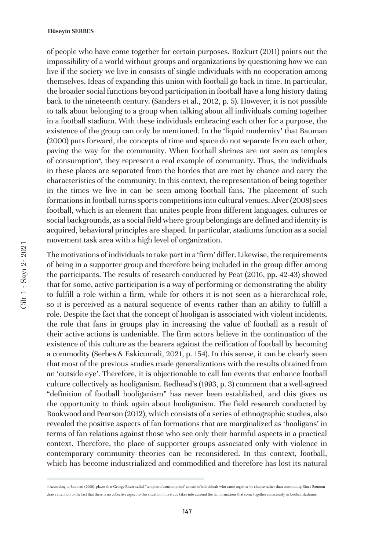of people who have come together for certain purposes. Bozkurt (2011) points out the impossibility of a world without groups and organizations by questioning how we can live if the society we live in consists of single individuals with no cooperation among themselves. Ideas of expanding this union with football go back in time. In particular, the broader social functions beyond participation in football have a long history dating back to the nineteenth century. (Sanders et al., 2012, p. 5). However, it is not possible to talk about belonging to a group when talking about all individuals coming together in a football stadium. With these individuals embracing each other for a purpose, the existence of the group can only be mentioned. In the 'liquid modernity' that Bauman (2000) puts forward, the concepts of time and space do not separate from each other, paving the way for the community. When football shrines are not seen as temples of consumption<sup>4</sup>, they represent a real example of community. Thus, the individuals in these places are separated from the hordes that are met by chance and carry the characteristics of the community. In this context, the representation of being together in the times we live in can be seen among football fans. The placement of such formations in football turns sports competitions into cultural venues. Alver (2008) sees football, which is an element that unites people from different languages, cultures or social backgrounds, as a social field where group belongings are defined and identity is acquired, behavioral principles are shaped. In particular, stadiums function as a social movement task area with a high level of organization.

The motivations of individuals to take part in a 'firm' differ. Likewise, the requirements of being in a supporter group and therefore being included in the group differ among the participants. The results of research conducted by Peat (2016, pp. 42-43) showed that for some, active participation is a way of performing or demonstrating the ability to fulfill a role within a firm, while for others it is not seen as a hierarchical role, so it is perceived as a natural sequence of events rather than an ability to fulfill a role. Despite the fact that the concept of hooligan is associated with violent incidents, the role that fans in groups play in increasing the value of football as a result of their active actions is undeniable. The firm actors believe in the continuation of the existence of this culture as the bearers against the reification of football by becoming a commodity (Serbes & Eskicumali, 2021, p. 154). In this sense, it can be clearly seen that most of the previous studies made generalizations with the results obtained from an 'outside eye'. Therefore, it is objectionable to call fan events that enhance football culture collectively as hooliganism. Redhead's (1993, p. 3) comment that a well-agreed "definition of football hooliganism" has never been established, and this gives us the opportunity to think again about hooliganism. The field research conducted by Rookwood and Pearson (2012), which consists of a series of ethnographic studies, also revealed the positive aspects of fan formations that are marginalized as 'hooligans' in terms of fan relations against those who see only their harmful aspects in a practical context. Therefore, the place of supporter groups associated only with violence in contemporary community theories can be reconsidered. In this context, football, which has become industrialized and commodified and therefore has lost its natural

<sup>4</sup> According to Bauman (2000), places that George Ritzer called "temples of consumption" consist of individuals who came together by chance rather than community. Since Bauman draws attention to the fact that there is no collective aspect to this situation, this study takes into account the fan formations that come together consciously in football stadiums.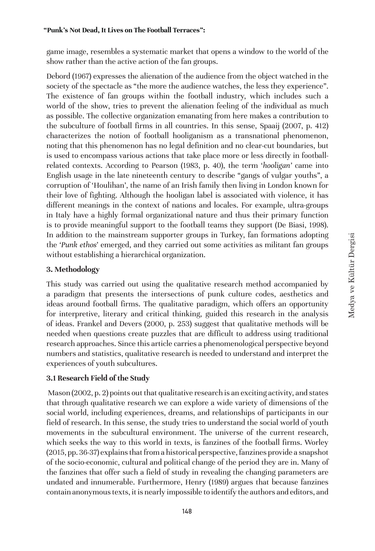game image, resembles a systematic market that opens a window to the world of the show rather than the active action of the fan groups.

Debord (1967) expresses the alienation of the audience from the object watched in the society of the spectacle as "the more the audience watches, the less they experience". The existence of fan groups within the football industry, which includes such a world of the show, tries to prevent the alienation feeling of the individual as much as possible. The collective organization emanating from here makes a contribution to the subculture of football firms in all countries. In this sense, Spaaij (2007, p. 412) characterizes the notion of football hooliganism as a transnational phenomenon, noting that this phenomenon has no legal definition and no clear-cut boundaries, but is used to encompass various actions that take place more or less directly in footballrelated contexts. According to Pearson (1983, p. 40), the term '*hooligan'* came into English usage in the late nineteenth century to describe "gangs of vulgar youths", a corruption of 'Houlihan', the name of an Irish family then living in London known for their love of fighting. Although the hooligan label is associated with violence, it has different meanings in the context of nations and locales. For example, ultra-groups in Italy have a highly formal organizational nature and thus their primary function is to provide meaningful support to the football teams they support (De Biasi, 1998). In addition to the mainstream supporter groups in Turkey, fan formations adopting the *'Punk ethos*' emerged, and they carried out some activities as militant fan groups without establishing a hierarchical organization.

# **3. Methodology**

This study was carried out using the qualitative research method accompanied by a paradigm that presents the intersections of punk culture codes, aesthetics and ideas around football firms. The qualitative paradigm, which offers an opportunity for interpretive, literary and critical thinking, guided this research in the analysis of ideas. Frankel and Devers (2000, p. 253) suggest that qualitative methods will be needed when questions create puzzles that are difficult to address using traditional research approaches. Since this article carries a phenomenological perspective beyond numbers and statistics, qualitative research is needed to understand and interpret the experiences of youth subcultures.

# **3.1 Research Field of the Study**

 Mason (2002, p. 2) points out that qualitative research is an exciting activity, and states that through qualitative research we can explore a wide variety of dimensions of the social world, including experiences, dreams, and relationships of participants in our field of research. In this sense, the study tries to understand the social world of youth movements in the subcultural environment. The universe of the current research, which seeks the way to this world in texts, is fanzines of the football firms. Worley (2015, pp. 36-37) explains that from a historical perspective, fanzines provide a snapshot of the socio-economic, cultural and political change of the period they are in. Many of the fanzines that offer such a field of study in revealing the changing parameters are undated and innumerable. Furthermore, Henry (1989) argues that because fanzines contain anonymous texts, it is nearly impossible to identify the authors and editors, and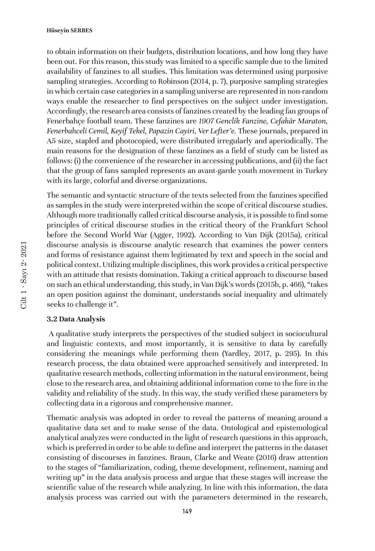to obtain information on their budgets, distribution locations, and how long they have been out. For this reason, this study was limited to a specific sample due to the limited availability of fanzines to all studies. This limitation was determined using purposive sampling strategies. According to Robinson (2014, p. 7), purposive sampling strategies in which certain case categories in a sampling universe are represented in non-random ways enable the researcher to find perspectives on the subject under investigation. Accordingly, the research area consists of fanzines created by the leading fan groups of Fenerbahçe football team. These fanzines are *1907 Genclik Fanzine, Cefakâr Maraton, Fenerbahceli Cemil, Keyif Tekel, Papazin Cayiri, Ver Lefter'e.* These journals, prepared in A5 size, stapled and photocopied, were distributed irregularly and aperiodically. The main reasons for the designation of these fanzines as a field of study can be listed as follows: (i) the convenience of the researcher in accessing publications, and (ii) the fact that the group of fans sampled represents an avant-garde youth movement in Turkey with its large, colorful and diverse organizations.

The semantic and syntactic structure of the texts selected from the fanzines specified as samples in the study were interpreted within the scope of critical discourse studies. Although more traditionally called critical discourse analysis, it is possible to find some principles of critical discourse studies in the critical theory of the Frankfurt School before the Second World War (Agger, 1992). According to Van Dijk (2015a), critical discourse analysis is discourse analytic research that examines the power centers and forms of resistance against them legitimated by text and speech in the social and political context. Utilizing multiple disciplines, this work provides a critical perspective with an attitude that resists domination. Taking a critical approach to discourse based on such an ethical understanding, this study, in Van Dijk's words (2015b, p. 466), "takes an open position against the dominant, understands social inequality and ultimately seeks to challenge it".

#### **3.2 Data Analysis**

 A qualitative study interprets the perspectives of the studied subject in sociocultural and linguistic contexts, and most importantly, it is sensitive to data by carefully considering the meanings while performing them (Yardley, 2017, p. 295). In this research process, the data obtained were approached sensitively and interpreted. In qualitative research methods, collecting information in the natural environment, being close to the research area, and obtaining additional information come to the fore in the validity and reliability of the study. In this way, the study verified these parameters by collecting data in a rigorous and comprehensive manner.

Thematic analysis was adopted in order to reveal the patterns of meaning around a qualitative data set and to make sense of the data. Ontological and epistemological analytical analyzes were conducted in the light of research questions in this approach, which is preferred in order to be able to define and interpret the patterns in the dataset consisting of discourses in fanzines. Braun, Clarke and Weate (2016) draw attention to the stages of "familiarization, coding, theme development, refinement, naming and writing up" in the data analysis process and argue that these stages will increase the scientific value of the research while analyzing. In line with this information, the data analysis process was carried out with the parameters determined in the research,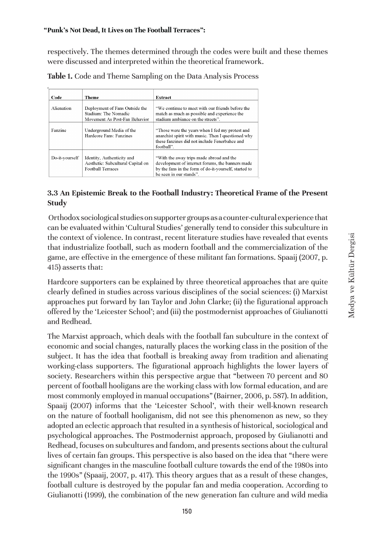Medya ve Kültür Dergisi

Medya ve Kültür Dergisi

respectively. The themes determined through the codes were built and these themes were discussed and interpreted within the theoretical framework.

| Table 1. Code and Theme Sampling on the Data Analysis Process |  |  |
|---------------------------------------------------------------|--|--|
|---------------------------------------------------------------|--|--|

| Code           | Theme                                                                                       | Extract                                                                                                                                                                          |
|----------------|---------------------------------------------------------------------------------------------|----------------------------------------------------------------------------------------------------------------------------------------------------------------------------------|
| Alienation     | Deployment of Fans Outside the<br>Stadium: The Nomadic<br>Movement As Post-Fan Behavior     | "We continue to meet with our friends before the<br>match as much as possible and experience the<br>stadium ambiance on the streets".                                            |
| Fanzine        | Underground Media of the<br>Hardcore Fans: Fanzines                                         | "Those were the years when I fed my protest and<br>anarchist spirit with music. Then I questioned why<br>these fanzines did not include Fenerbahce and<br>football".             |
| Do-it-yourself | Identity, Authenticity and<br>Aesthetic: Subcultural Capital on<br><b>Football Terraces</b> | "With the away trips made abroad and the<br>development of internet forums, the banners made<br>by the fans in the form of do-it-yourself, started to<br>be seen in our stands". |

## **3.3 An Epistemic Break to the Football Industry: Theoretical Frame of the Present Study**

 Orthodox sociological studies on supporter groups as a counter-cultural experience that can be evaluated within 'Cultural Studies' generally tend to consider this subculture in the context of violence. In contrast, recent literature studies have revealed that events that industrialize football, such as modern football and the commercialization of the game, are effective in the emergence of these militant fan formations. Spaaij (2007, p. 415) asserts that:

Hardcore supporters can be explained by three theoretical approaches that are quite clearly defined in studies across various disciplines of the social sciences: (i) Marxist approaches put forward by Ian Taylor and John Clarke; (ii) the figurational approach offered by the 'Leicester School'; and (iii) the postmodernist approaches of Giulianotti and Redhead.

The Marxist approach, which deals with the football fan subculture in the context of economic and social changes, naturally places the working class in the position of the subject. It has the idea that football is breaking away from tradition and alienating working-class supporters. The figurational approach highlights the lower layers of society. Researchers within this perspective argue that "between 70 percent and 80 percent of football hooligans are the working class with low formal education, and are most commonly employed in manual occupations" (Bairner, 2006, p. 587). In addition, Spaaij (2007) informs that the 'Leicester School', with their well-known research on the nature of football hooliganism, did not see this phenomenon as new, so they adopted an eclectic approach that resulted in a synthesis of historical, sociological and psychological approaches. The Postmodernist approach, proposed by Giulianotti and Redhead, focuses on subcultures and fandom, and presents sections about the cultural lives of certain fan groups. This perspective is also based on the idea that "there were significant changes in the masculine football culture towards the end of the 1980s into the 1990s" (Spaaij, 2007, p. 417). This theory argues that as a result of these changes, football culture is destroyed by the popular fan and media cooperation. According to Giulianotti (1999), the combination of the new generation fan culture and wild media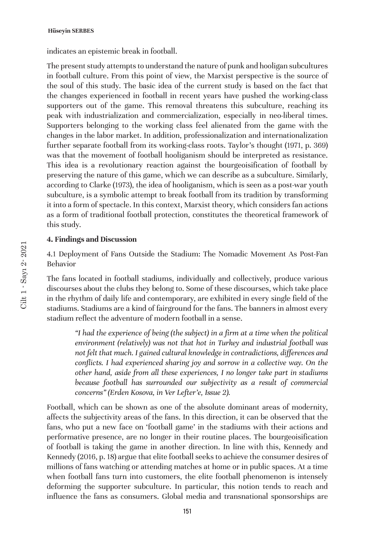indicates an epistemic break in football.

The present study attempts to understand the nature of punk and hooligan subcultures in football culture. From this point of view, the Marxist perspective is the source of the soul of this study. The basic idea of the current study is based on the fact that the changes experienced in football in recent years have pushed the working-class supporters out of the game. This removal threatens this subculture, reaching its peak with industrialization and commercialization, especially in neo-liberal times. Supporters belonging to the working class feel alienated from the game with the changes in the labor market. In addition, professionalization and internationalization further separate football from its working-class roots. Taylor's thought (1971, p. 369) was that the movement of football hooliganism should be interpreted as resistance. This idea is a revolutionary reaction against the bourgeoisification of football by preserving the nature of this game, which we can describe as a subculture. Similarly, according to Clarke (1973), the idea of hooliganism, which is seen as a post-war youth subculture, is a symbolic attempt to break football from its tradition by transforming it into a form of spectacle. In this context, Marxist theory, which considers fan actions as a form of traditional football protection, constitutes the theoretical framework of this study.

### **4. Findings and Discussion**

4.1 Deployment of Fans Outside the Stadium: The Nomadic Movement As Post-Fan Behavior

The fans located in football stadiums, individually and collectively, produce various discourses about the clubs they belong to. Some of these discourses, which take place in the rhythm of daily life and contemporary, are exhibited in every single field of the stadiums. Stadiums are a kind of fairground for the fans. The banners in almost every stadium reflect the adventure of modern football in a sense.

*"I had the experience of being (the subject) in a firm at a time when the political environment (relatively) was not that hot in Turkey and industrial football was not felt that much. I gained cultural knowledge in contradictions, differences and conflicts. I had experienced sharing joy and sorrow in a collective way. On the other hand, aside from all these experiences, I no longer take part in stadiums*  because football has surrounded our subjectivity as a result of commercial *concerns" (Erden Kosova, in Ver Lefter'e, Issue 2).*

Football, which can be shown as one of the absolute dominant areas of modernity, affects the subjectivity areas of the fans. In this direction, it can be observed that the fans, who put a new face on 'football game' in the stadiums with their actions and performative presence, are no longer in their routine places. The bourgeoisification of football is taking the game in another direction. In line with this, Kennedy and Kennedy (2016, p. 18) argue that elite football seeks to achieve the consumer desires of millions of fans watching or attending matches at home or in public spaces. At a time when football fans turn into customers, the elite football phenomenon is intensely deforming the supporter subculture. In particular, this notion tends to reach and influence the fans as consumers. Global media and transnational sponsorships are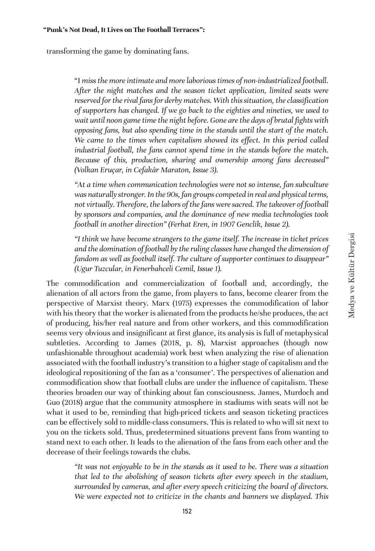transforming the game by dominating fans.

"I *miss the more intimate and more laborious times of non-industrialized football. After the night matches and the season ticket application, limited seats were reserved for the rival fans for derby matches. With this situation, the classification of supporters has changed. If we go back to the eighties and nineties, we used to wait until noon game time the night before. Gone are the days of brutal fights with opposing fans, but also spending time in the stands until the start of the match.*  We came to the times when capitalism showed its effect. In this period called *industrial football, the fans cannot spend time in the stands before the match. Because of this, production, sharing and ownership among fans decreased" (Volkan Eruçar, in Cefakâr Maraton, Issue 3).*

*"At a time when communication technologies were not so intense, fan subculture was naturally stronger. In the 90s, fan groups competed in real and physical terms, not virtually. Therefore, the labors of the fans were sacred. The takeover of football by sponsors and companies, and the dominance of new media technologies took football in another direction" (Ferhat Eren, in 1907 Genclik, Issue 2).*

*"I think we have become strangers to the game itself. The increase in ticket prices and the domination of football by the ruling classes have changed the dimension of fandom as well as football itself. The culture of supporter continues to disappear" (Ugur Tuzcular, in Fenerbahceli Cemil, Issue 1).*

The commodification and commercialization of football and, accordingly, the alienation of all actors from the game, from players to fans, become clearer from the perspective of Marxist theory. Marx (1975) expresses the commodification of labor with his theory that the worker is alienated from the products he/she produces, the act of producing, his/her real nature and from other workers, and this commodification seems very obvious and insignificant at first glance, its analysis is full of metaphysical subtleties. According to James (2018, p. 8), Marxist approaches (though now unfashionable throughout academia) work best when analyzing the rise of alienation associated with the football industry's transition to a higher stage of capitalism and the ideological repositioning of the fan as a 'consumer'. The perspectives of alienation and commodification show that football clubs are under the influence of capitalism. These theories broaden our way of thinking about fan consciousness. James, Murdoch and Guo (2018) argue that the community atmosphere in stadiums with seats will not be what it used to be, reminding that high-priced tickets and season ticketing practices can be effectively sold to middle-class consumers. This is related to who will sit next to you on the tickets sold. Thus, predetermined situations prevent fans from wanting to stand next to each other. It leads to the alienation of the fans from each other and the decrease of their feelings towards the clubs.

*"It was not enjoyable to be in the stands as it used to be. There was a situation that led to the abolishing of season tickets after every speech in the stadium, surrounded by cameras, and after every speech criticizing the board of directors. We were expected not to criticize in the chants and banners we displayed. This*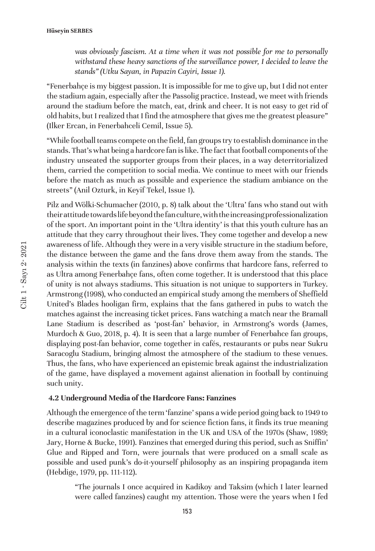*was obviously fascism. At a time when it was not possible for me to personally withstand these heavy sanctions of the surveillance power, I decided to leave the stands" (Utku Sayan, in Papazin Cayiri, Issue 1).*

"Fenerbahçe is my biggest passion. It is impossible for me to give up, but I did not enter the stadium again, especially after the Passolig practice. Instead, we meet with friends around the stadium before the match, eat, drink and cheer. It is not easy to get rid of old habits, but I realized that I find the atmosphere that gives me the greatest pleasure" (Ilker Ercan, in Fenerbahceli Cemil, Issue 5).

"While football teams compete on the field, fan groups try to establish dominance in the stands. That's what being a hardcore fan is like. The fact that football components of the industry unseated the supporter groups from their places, in a way deterritorialized them, carried the competition to social media. We continue to meet with our friends before the match as much as possible and experience the stadium ambiance on the streets" (Anil Ozturk, in Keyif Tekel, Issue 1).

Pilz and Wölki-Schumacher (2010, p. 8) talk about the 'Ultra' fans who stand out with their attitude towards life beyond the fan culture, with the increasing professionalization of the sport. An important point in the 'Ultra identity' is that this youth culture has an attitude that they carry throughout their lives. They come together and develop a new awareness of life. Although they were in a very visible structure in the stadium before, the distance between the game and the fans drove them away from the stands. The analysis within the texts (in fanzines) above confirms that hardcore fans, referred to as Ultra among Fenerbahçe fans, often come together. It is understood that this place of unity is not always stadiums. This situation is not unique to supporters in Turkey. Armstrong (1998), who conducted an empirical study among the members of Sheffield United's Blades hooligan firm, explains that the fans gathered in pubs to watch the matches against the increasing ticket prices. Fans watching a match near the Bramall Lane Stadium is described as 'post-fan' behavior, in Armstrong's words (James, Murdoch & Guo, 2018, p. 4). It is seen that a large number of Fenerbahce fan groups, displaying post-fan behavior, come together in cafés, restaurants or pubs near Sukru Saracoglu Stadium, bringing almost the atmosphere of the stadium to these venues. Thus, the fans, who have experienced an epistemic break against the industrialization of the game, have displayed a movement against alienation in football by continuing such unity.

### **4.2 Underground Media of the Hardcore Fans: Fanzines**

Although the emergence of the term 'fanzine' spans a wide period going back to 1949 to describe magazines produced by and for science fiction fans, it finds its true meaning in a cultural iconoclastic manifestation in the UK and USA of the 1970s (Shaw, 1989; Jary, Horne & Bucke, 1991). Fanzines that emerged during this period, such as Sniffin' Glue and Ripped and Torn, were journals that were produced on a small scale as possible and used punk's do-it-yourself philosophy as an inspiring propaganda item (Hebdige, 1979, pp. 111-112).

"The journals I once acquired in Kadikoy and Taksim (which I later learned were called fanzines) caught my attention. Those were the years when I fed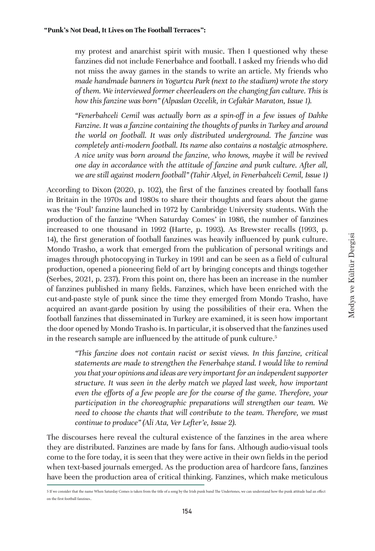my protest and anarchist spirit with music. Then I questioned why these fanzines did not include Fenerbahce and football. I asked my friends who did not miss the away games in the stands to write an article. My friends who *made handmade banners in Yogurtcu Park (next to the stadium) wrote the story of them. We interviewed former cheerleaders on the changing fan culture. This is how this fanzine was born" (Alpaslan Ozcelik, in Cefakâr Maraton, Issue 1).*

*"Fenerbahceli Cemil was actually born as a spin-off in a few issues of Dahke Fanzine. It was a fanzine containing the thoughts of punks in Turkey and around the world on football. It was only distributed underground. The fanzine was completely anti-modern football. Its name also contains a nostalgic atmosphere. A nice unity was born around the fanzine, who knows, maybe it will be revived one day in accordance with the attitude of fanzine and punk culture. After all, we are still against modern football" (Tahir Akyel, in Fenerbahceli Cemil, Issue 1)*

According to Dixon (2020, p. 102), the first of the fanzines created by football fans in Britain in the 1970s and 1980s to share their thoughts and fears about the game was the 'Foul' fanzine launched in 1972 by Cambridge University students. With the production of the fanzine 'When Saturday Comes' in 1986, the number of fanzines increased to one thousand in 1992 (Harte, p. 1993). As Brewster recalls (1993, p. 14), the first generation of football fanzines was heavily influenced by punk culture. Mondo Trasho, a work that emerged from the publication of personal writings and images through photocopying in Turkey in 1991 and can be seen as a field of cultural production, opened a pioneering field of art by bringing concepts and things together (Serbes, 2021, p. 237). From this point on, there has been an increase in the number of fanzines published in many fields. Fanzines, which have been enriched with the cut-and-paste style of punk since the time they emerged from Mondo Trasho, have acquired an avant-garde position by using the possibilities of their era. When the football fanzines that disseminated in Turkey are examined, it is seen how important the door opened by Mondo Trasho is. In particular, it is observed that the fanzines used in the research sample are influenced by the attitude of punk culture.<sup>5</sup>

*"This fanzine does not contain racist or sexist views. In this fanzine, critical statements are made to strengthen the Fenerbahçe stand. I would like to remind you that your opinions and ideas are very important for an independent supporter structure. It was seen in the derby match we played last week, how important even the efforts of a few people are for the course of the game. Therefore, your participation in the choreographic preparations will strengthen our team. We need to choose the chants that will contribute to the team. Therefore, we must continue to produce" (Ali Ata, Ver Lefter'e, Issue 2).*

The discourses here reveal the cultural existence of the fanzines in the area where they are distributed. Fanzines are made by fans for fans. Although audio-visual tools come to the fore today, it is seen that they were active in their own fields in the period when text-based journals emerged. As the production area of hardcore fans, fanzines have been the production area of critical thinking. Fanzines, which make meticulous

<sup>5</sup> If we consider that the name When Saturday Comes is taken from the title of a song by the Irish punk band The Undertones, we can understand how the punk attitude had an effect on the first football fanzines..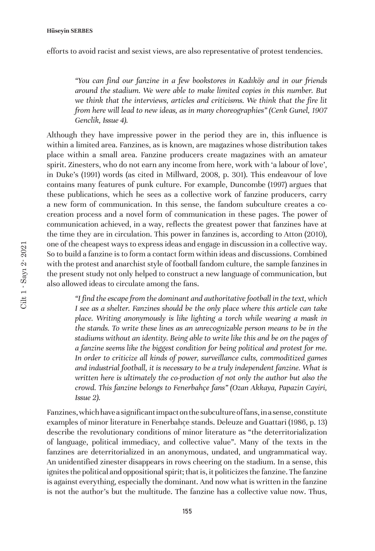efforts to avoid racist and sexist views, are also representative of protest tendencies.

*"You can find our fanzine in a few bookstores in Kadıköy and in our friends around the stadium. We were able to make limited copies in this number. But we think that the interviews, articles and criticisms. We think that the fire lit from here will lead to new ideas, as in many choreographies" (Cenk Gunel, 1907 Genclik, Issue 4).*

Although they have impressive power in the period they are in, this influence is within a limited area. Fanzines, as is known, are magazines whose distribution takes place within a small area. Fanzine producers create magazines with an amateur spirit. Zinesters, who do not earn any income from here, work with 'a labour of love', in Duke's (1991) words (as cited in Millward, 2008, p. 301). This endeavour of love contains many features of punk culture. For example, Duncombe (1997) argues that these publications, which he sees as a collective work of fanzine producers, carry a new form of communication. In this sense, the fandom subculture creates a cocreation process and a novel form of communication in these pages. The power of communication achieved, in a way, reflects the greatest power that fanzines have at the time they are in circulation. This power in fanzines is, according to Atton (2010), one of the cheapest ways to express ideas and engage in discussion in a collective way. So to build a fanzine is to form a contact form within ideas and discussions. Combined with the protest and anarchist style of football fandom culture, the sample fanzines in the present study not only helped to construct a new language of communication, but also allowed ideas to circulate among the fans.

*"I find the escape from the dominant and authoritative football in the text, which I see as a shelter. Fanzines should be the only place where this article can take place. Writing anonymously is like lighting a torch while wearing a mask in the stands. To write these lines as an unrecognizable person means to be in the stadiums without an identity. Being able to write like this and be on the pages of a fanzine seems like the biggest condition for being political and protest for me. In order to criticize all kinds of power, surveillance cults, commoditized games and industrial football, it is necessary to be a truly independent fanzine. What is written here is ultimately the co-production of not only the author but also the crowd. This fanzine belongs to Fenerbahçe fans" (Ozan Akkaya, Papazin Cayiri, Issue 2).*

Fanzines, which have a significant impact on the subculture of fans, in a sense, constitute examples of minor literature in Fenerbahçe stands. Deleuze and Guattari (1986, p. 13) describe the revolutionary conditions of minor literature as "the deterritorialization of language, political immediacy, and collective value". Many of the texts in the fanzines are deterritorialized in an anonymous, undated, and ungrammatical way. An unidentified zinester disappears in rows cheering on the stadium. In a sense, this ignites the political and oppositional spirit; that is, it politicizes the fanzine. The fanzine is against everything, especially the dominant. And now what is written in the fanzine is not the author's but the multitude. The fanzine has a collective value now. Thus,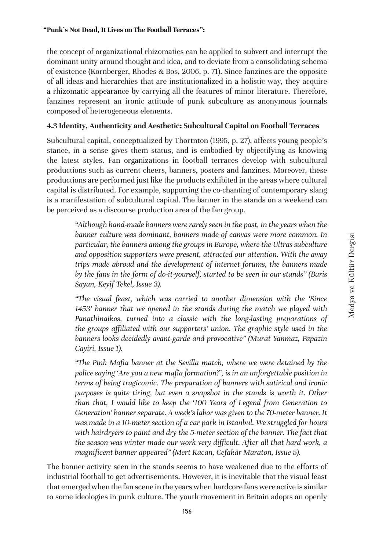the concept of organizational rhizomatics can be applied to subvert and interrupt the dominant unity around thought and idea, and to deviate from a consolidating schema of existence (Kornberger, Rhodes & Bos, 2006, p. 71). Since fanzines are the opposite of all ideas and hierarchies that are institutionalized in a holistic way, they acquire a rhizomatic appearance by carrying all the features of minor literature. Therefore, fanzines represent an ironic attitude of punk subculture as anonymous journals composed of heterogeneous elements.

# **4.3 Identity, Authenticity and Aesthetic: Subcultural Capital on Football Terraces**

Subcultural capital, conceptualized by Thortnton (1995, p. 27), affects young people's stance, in a sense gives them status, and is embodied by objectifying as knowing the latest styles. Fan organizations in football terraces develop with subcultural productions such as current cheers, banners, posters and fanzines. Moreover, these productions are performed just like the products exhibited in the areas where cultural capital is distributed. For example, supporting the co-chanting of contemporary slang is a manifestation of subcultural capital. The banner in the stands on a weekend can be perceived as a discourse production area of the fan group.

> *"Although hand-made banners were rarely seen in the past, in the years when the banner culture was dominant, banners made of canvas were more common. In particular, the banners among the groups in Europe, where the Ultras subculture and opposition supporters were present, attracted our attention. With the away trips made abroad and the development of internet forums, the banners made by the fans in the form of do-it-yourself, started to be seen in our stands" (Baris Sayan, Keyif Tekel, Issue 3).*

> *"The visual feast, which was carried to another dimension with the 'Since 1453' banner that we opened in the stands during the match we played with Panathinaikos, turned into a classic with the long-lasting preparations of the groups affiliated with our supporters' union. The graphic style used in the banners looks decidedly avant-garde and provocative" (Murat Yanmaz, Papazin Cayiri, Issue 1).*

> *"The Pink Mafia banner at the Sevilla match, where we were detained by the police saying 'Are you a new mafia formation?', is in an unforgettable position in terms of being tragicomic. The preparation of banners with satirical and ironic purposes is quite tiring, but even a snapshot in the stands is worth it. Other than that, I would like to keep the '100 Years of Legend from Generation to Generation' banner separate. A week's labor was given to the 70-meter banner. It was made in a 10-meter section of a car park in Istanbul. We struggled for hours with hairdryers to paint and dry the 5-meter section of the banner. The fact that the season was winter made our work very difficult. After all that hard work, a magnificent banner appeared" (Mert Kacan, Cefakâr Maraton, Issue 5).*

The banner activity seen in the stands seems to have weakened due to the efforts of industrial football to get advertisements. However, it is inevitable that the visual feast that emerged when the fan scene in the years when hardcore fans were active is similar to some ideologies in punk culture. The youth movement in Britain adopts an openly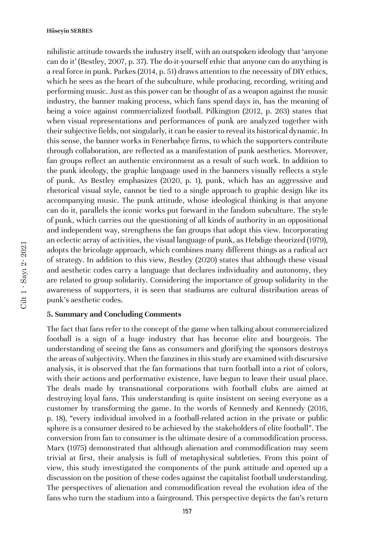nihilistic attitude towards the industry itself, with an outspoken ideology that 'anyone can do it' (Bestley, 2007, p. 37). The do-it-yourself ethic that anyone can do anything is a real force in punk. Parkes (2014, p. 51) draws attention to the necessity of DIY ethics, which he sees as the heart of the subculture, while producing, recording, writing and performing music. Just as this power can be thought of as a weapon against the music industry, the banner making process, which fans spend days in, has the meaning of being a voice against commercialized football. Pilkington (2012, p. 263) states that when visual representations and performances of punk are analyzed together with their subjective fields, not singularly, it can be easier to reveal its historical dynamic. In this sense, the banner works in Fenerbahçe firms, to which the supporters contribute through collaboration, are reflected as a manifestation of punk aesthetics. Moreover, fan groups reflect an authentic environment as a result of such work. In addition to the punk ideology, the graphic language used in the banners visually reflects a style of punk. As Bestley emphasizes (2020, p. 1), punk, which has an aggressive and rhetorical visual style, cannot be tied to a single approach to graphic design like its accompanying music. The punk attitude, whose ideological thinking is that anyone can do it, parallels the iconic works put forward in the fandom subculture. The style of punk, which carries out the questioning of all kinds of authority in an oppositional and independent way, strengthens the fan groups that adopt this view. Incorporating an eclectic array of activities, the visual language of punk, as Hebdige theorized (1979), adopts the bricolage approach, which combines many different things as a radical act of strategy. In addition to this view, Bestley (2020) states that although these visual and aesthetic codes carry a language that declares individuality and autonomy, they are related to group solidarity. Considering the importance of group solidarity in the awareness of supporters, it is seen that stadiums are cultural distribution areas of punk's aesthetic codes.

### **5. Summary and Concluding Comments**

The fact that fans refer to the concept of the game when talking about commercialized football is a sign of a huge industry that has become elite and bourgeois. The understanding of seeing the fans as consumers and glorifying the sponsors destroys the areas of subjectivity. When the fanzines in this study are examined with discursive analysis, it is observed that the fan formations that turn football into a riot of colors, with their actions and performative existence, have begun to leave their usual place. The deals made by transnational corporations with football clubs are aimed at destroying loyal fans. This understanding is quite insistent on seeing everyone as a customer by transforming the game. In the words of Kennedy and Kennedy (2016, p. 18), "every individual involved in a football-related action in the private or public sphere is a consumer desired to be achieved by the stakeholders of elite football". The conversion from fan to consumer is the ultimate desire of a commodification process. Marx (1975) demonstrated that although alienation and commodification may seem trivial at first, their analysis is full of metaphysical subtleties. From this point of view, this study investigated the components of the punk attitude and opened up a discussion on the position of these codes against the capitalist football understanding. The perspectives of alienation and commodification reveal the evolution idea of the fans who turn the stadium into a fairground. This perspective depicts the fan's return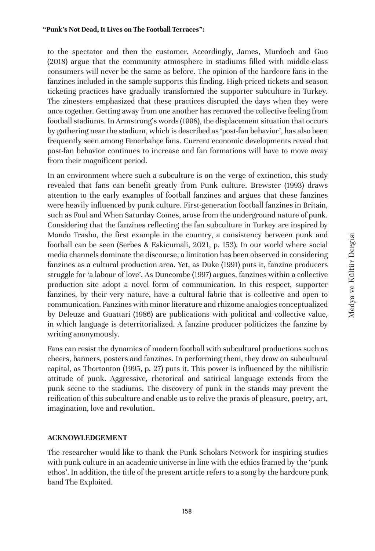to the spectator and then the customer. Accordingly, James, Murdoch and Guo (2018) argue that the community atmosphere in stadiums filled with middle-class consumers will never be the same as before. The opinion of the hardcore fans in the fanzines included in the sample supports this finding. High-priced tickets and season ticketing practices have gradually transformed the supporter subculture in Turkey. The zinesters emphasized that these practices disrupted the days when they were once together. Getting away from one another has removed the collective feeling from football stadiums. In Armstrong's words (1998), the displacement situation that occurs by gathering near the stadium, which is described as 'post-fan behavior', has also been frequently seen among Fenerbahçe fans. Current economic developments reveal that post-fan behavior continues to increase and fan formations will have to move away from their magnificent period.

In an environment where such a subculture is on the verge of extinction, this study revealed that fans can benefit greatly from Punk culture. Brewster (1993) draws attention to the early examples of football fanzines and argues that these fanzines were heavily influenced by punk culture. First-generation football fanzines in Britain, such as Foul and When Saturday Comes, arose from the underground nature of punk. Considering that the fanzines reflecting the fan subculture in Turkey are inspired by Mondo Trasho, the first example in the country, a consistency between punk and football can be seen (Serbes & Eskicumali, 2021, p. 153). In our world where social media channels dominate the discourse, a limitation has been observed in considering fanzines as a cultural production area. Yet, as Duke (1991) puts it, fanzine producers struggle for 'a labour of love'. As Duncombe (1997) argues, fanzines within a collective production site adopt a novel form of communication. In this respect, supporter fanzines, by their very nature, have a cultural fabric that is collective and open to communication. Fanzines with minor literature and rhizome analogies conceptualized by Deleuze and Guattari (1986) are publications with political and collective value, in which language is deterritorialized. A fanzine producer politicizes the fanzine by writing anonymously.

Fans can resist the dynamics of modern football with subcultural productions such as cheers, banners, posters and fanzines. In performing them, they draw on subcultural capital, as Thortonton (1995, p. 27) puts it. This power is influenced by the nihilistic attitude of punk. Aggressive, rhetorical and satirical language extends from the punk scene to the stadiums. The discovery of punk in the stands may prevent the reification of this subculture and enable us to relive the praxis of pleasure, poetry, art, imagination, love and revolution.

### **ACKNOWLEDGEMENT**

The researcher would like to thank the Punk Scholars Network for inspiring studies with punk culture in an academic universe in line with the ethics framed by the 'punk ethos'. In addition, the title of the present article refers to a song by the hardcore punk band The Exploited.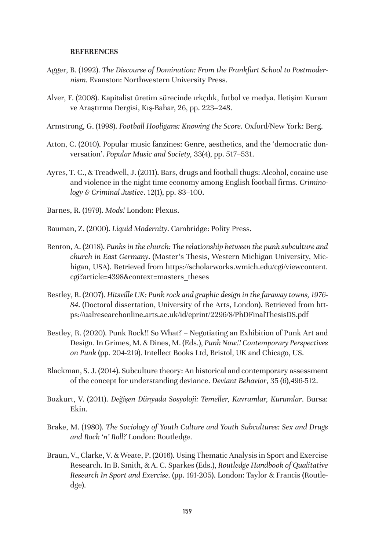#### **REFERENCES**

- Agger, B. (1992). *The Discourse of Domination: From the Frankfurt School to Postmodernism.* Evanston: Northwestern University Press.
- Alver, F. (2008). Kapitalist üretim sürecinde ırkçılık, futbol ve medya. İletişim Kuram ve Araştırma Dergisi, Kış-Bahar, 26, pp. 223–248.
- Armstrong, G. (1998). *Football Hooligans: Knowing the Score*. Oxford/New York: Berg.
- Atton, C. (2010). Popular music fanzines: Genre, aesthetics, and the 'democratic donversation'. *Popular Music and Society,* 33(4), pp. 517–531.
- Ayres, T. C., & Treadwell, J. (2011). Bars, drugs and football thugs: Alcohol, cocaine use and violence in the night time economy among English football firms. *Criminology & Criminal Justice*. 12(1), pp. 83–100.
- Barnes, R. (1979). *Mods!* London: Plexus.
- Bauman, Z. (2000). *Liquid Modernity*. Cambridge: Polity Press.
- Benton, A. (2018). *Punks in the church: The relationship between the punk subculture and church in East Germany*. (Master's Thesis, Western Michigan University, Michigan, USA). Retrieved from https://scholarworks.wmich.edu/cgi/viewcontent. cgi?article=4398&context=masters\_theses
- Bestley, R. (2007). *Hitsville UK: Punk rock and graphic design in the faraway towns, 1976- 84*. (Doctoral dissertation, University of the Arts, London). Retrieved from https://ualresearchonline.arts.ac.uk/id/eprint/2296/8/PhDFinalThesisDS.pdf
- Bestley, R. (2020). Punk Rock!! So What? Negotiating an Exhibition of Punk Art and Design. In Grimes, M. & Dines, M. (Eds.), *Punk Now!! Contemporary Perspectives on Punk* (pp. 204-219). Intellect Books Ltd, Bristol, UK and Chicago, US.
- Blackman, S. J. (2014). Subculture theory: An historical and contemporary assessment of the concept for understanding deviance. *Deviant Behavior*, 35 (6),496-512.
- Bozkurt, V. (2011). *Değişen Dünyada Sosyoloji: Temeller, Kavramlar, Kurumlar*. Bursa: Ekin.
- Brake, M. (1980). *The Sociology of Youth Culture and Youth Subcultures: Sex and Drugs and Rock 'n' Roll?* London: Routledge.
- Braun, V., Clarke, V. & Weate, P. (2016). Using Thematic Analysis in Sport and Exercise Research. In B. Smith, & A. C. Sparkes (Eds.), *Routledge Handbook of Qualitative Research In Sport and Exercise.* (pp. 191-205). London: Taylor & Francis (Routledge).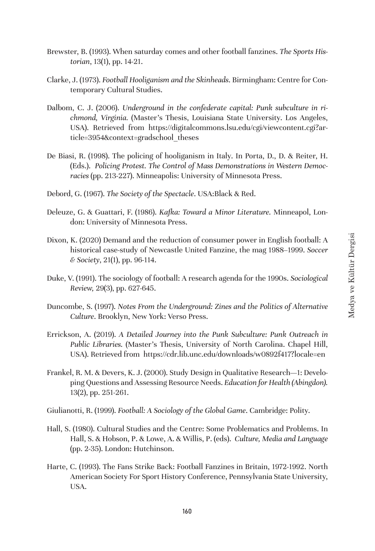- Brewster, B. (1993). When saturday comes and other football fanzines. *The Sports Historian*, 13(1), pp. 14-21.
- Clarke, J. (1973). *Football Hooliganism and the Skinheads*. Birmingham: Centre for Contemporary Cultural Studies.
- Dalbom, C. J. (2006). *Underground in the confederate capital: Punk subculture in richmond, Virginia.* (Master's Thesis, Louisiana State University. Los Angeles, USA). Retrieved from https://digitalcommons.lsu.edu/cgi/viewcontent.cgi?article=3954&context=gradschool\_theses
- De Biasi, R. (1998). The policing of hooliganism in Italy. In Porta, D., D. & Reiter, H. (Eds.). *Policing Protest. The Control of Mass Demonstrations in Western Democracies* (pp. 213-227). Minneapolis: University of Minnesota Press.
- Debord, G. (1967). *The Society of the Spectacle*. USA:Black & Red.
- Deleuze, G. & Guattari, F. (1986). *Kafka: Toward a Minor Literature.* Minneapol, London: University of Minnesota Press.
- Dixon, K. (2020) Demand and the reduction of consumer power in English football: A historical case-study of Newcastle United Fanzine, the mag 1988–1999. *Soccer & Society*, 21(1), pp. 96-114.
- Duke, V. (1991). The sociology of football: A research agenda for the 1990s. *Sociological Review,* 29(3), pp. 627-645.
- Duncombe, S. (1997). *Notes From the Underground: Zines and the Politics of Alternative Culture*. Brooklyn, New York: Verso Press.
- Errickson, A. (2019). *A Detailed Journey into the Punk Subculture: Punk Outreach in Public Libraries.* (Master's Thesis, University of North Carolina. Chapel Hill, USA). Retrieved from https://cdr.lib.unc.edu/downloads/w0892f417?locale=en
- Frankel, R. M. & Devers, K. J. (2000). Study Design in Qualitative Research—1: Developing Questions and Assessing Resource Needs. *Education for Health (Abingdon).*  13(2), pp. 251-261.
- Giulianotti, R. (1999). *Football: A Sociology of the Global Game*. Cambridge: Polity.
- Hall, S. (1980). Cultural Studies and the Centre: Some Problematics and Problems. In Hall, S. & Hobson, P. & Lowe, A. & Willis, P. (eds). *Culture, Media and Language* (pp. 2-35). London: Hutchinson.
- Harte, C. (1993). The Fans Strike Back: Football Fanzines in Britain, 1972-1992. North American Society For Sport History Conference, Pennsylvania State University, USA.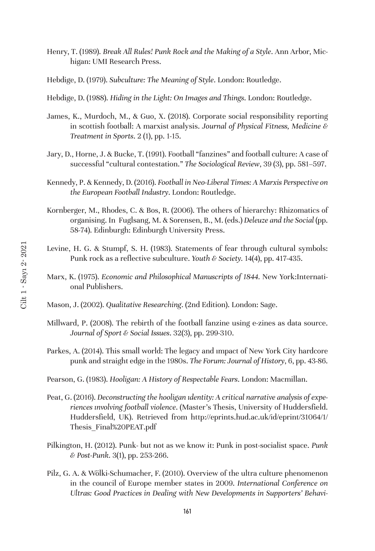- Henry, T. (1989). *Break All Rules! Punk Rock and the Making of a Style*. Ann Arbor, Michigan: UMI Research Press.
- Hebdige, D. (1979). *Subculture: The Meaning of Style*. London: Routledge.
- Hebdige, D. (1988). *Hiding in the Light: On Images and Things*. London: Routledge.
- James, K., Murdoch, M., & Guo, X. (2018). Corporate social responsibility reporting in scottish football: A marxist analysis. *Journal of Physical Fitness, Medicine & Treatment in Sports*. 2 (1), pp. 1-15.
- Jary, D., Horne, J. & Bucke, T. (1991). Football "fanzines" and football culture: A case of successful "cultural contestation." *The Sociological Review*, 39 (3), pp. 581–597.
- Kennedy, P. & Kennedy, D. (2016). *Football in Neo-Liberal Times: A Marxis Perspective on the European Football Industry*. London: Routledge.
- Kornberger, M., Rhodes, C. & Bos, R. (2006). The others of hierarchy: Rhizomatics of organising. In Fuglsang, M. & Sorensen, B., M. (eds.) *Deleuze and the Social* (pp. 58-74). Edinburgh: Edinburgh University Press.
- Levine, H. G. & Stumpf, S. H. (1983). Statements of fear through cultural symbols: Punk rock as a reflective subculture. *Youth & Society.* 14(4), pp. 417-435.
- Marx, K. (1975). *Economic and Philosophical Manuscripts of 1844.* New York:International Publishers.
- Mason, J. (2002). *Qualitative Researching*. (2nd Edition). London: Sage.
- Millward, P. (2008). The rebirth of the football fanzine using e-zines as data source. *Journal of Sport & Social Issues*. 32(3), pp. 299-310.
- Parkes, A. (2014). This small world: The legacy and ımpact of New York City hardcore punk and straight edge in the 1980s. *The Forum: Journal of History*, 6, pp. 43-86.
- Pearson, G. (1983). *Hooligan: A History of Respectable Fears*. London: Macmillan.
- Peat, G. (2016). *Deconstructing the hooligan ıdentity: A critical narrative analysis of experiences ınvolving football violence*. (Master's Thesis, University of Huddersfield. Huddersfield, UK). Retrieved from http://eprints.hud.ac.uk/id/eprint/31064/1/ Thesis\_Final%20PEAT.pdf
- Pilkington, H. (2012). Punk- but not as we know it: Punk in post-socialist space. *Punk & Post-Punk.* 3(1), pp. 253-266.
- Pilz, G. A. & Wölki-Schumacher, F. (2010). Overview of the ultra culture phenomenon in the council of Europe member states in 2009. *International Conference on Ultras: Good Practices in Dealing with New Developments in Supporters' Behavi-*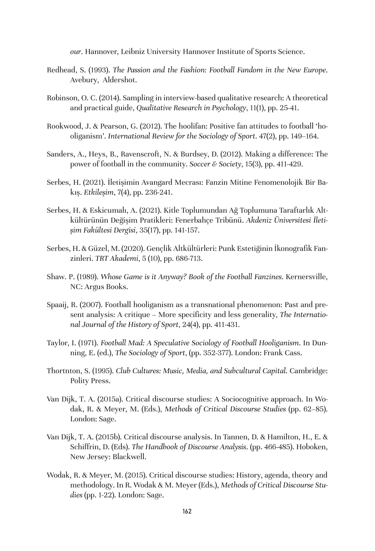*our*. Hannover, Leibniz University Hannover Institute of Sports Science.

- Redhead, S. (1993). *The Passion and the Fashion: Football Fandom in the New Europe*. Avebury, Aldershot.
- Robinson, O. C. (2014). Sampling in interview-based qualitative research: A theoretical and practical guide, *Qualitative Research in Psychology*, 11(1), pp. 25-41.
- Rookwood, J. & Pearson, G. (2012). The hoolifan: Positive fan attitudes to football 'hooliganism'. *International Review for the Sociology of Sport*. 47(2), pp. 149–164.
- Sanders, A., Heys, B., Ravenscroft, N. & Burdsey, D. (2012). Making a difference: The power of football in the community. *Soccer & Society*, 15(3), pp. 411-429.
- Serbes, H. (2021). İletişimin Avangard Mecrası: Fanzin Mitine Fenomenolojik Bir Bakış. *Etkileşim*, 7(4), pp. 236-241.
- Serbes, H. & Eskicumalı, A. (2021). Kitle Toplumundan Ağ Toplumuna Taraftarlık Altkültürünün Değişim Pratikleri: Fenerbahçe Tribünü. *Akdeniz Üniversitesi İletişim Fakültesi Dergisi*, 35(17), pp. 141-157.
- Serbes, H. & Güzel, M. (2020). Gençlik Altkültürleri: Punk Estetiğinin İkonografik Fanzinleri. *TRT Akademi*, 5 (10), pp. 686-713.
- Shaw. P. (1989). *Whose Game is it Anyway? Book of the Football Fanzines*. Kernersville, NC: Argus Books.
- Spaaij, R. (2007). Football hooliganism as a transnational phenomenon: Past and present analysis: A critique – More specificity and less generality, *The International Journal of the History of Sport*, 24(4), pp. 411-431.
- Taylor, I. (1971). *Football Mad: A Speculative Sociology of Football Hooliganism*. In Dunning, E. (ed.), *The Sociology of Sport*, (pp. 352-377). London: Frank Cass.
- Thortnton, S. (1995). *Club Cultures: Music, Media, and Subcultural Capital.* Cambridge: Polity Press.
- Van Dijk, T. A. (2015a). Critical discourse studies: A Sociocognitive approach. In Wodak, R. & Meyer, M. (Eds.), *Methods of Critical Discourse Studies* (pp. 62–85). London: Sage.
- Van Dijk, T. A. (2015b). Critical discourse analysis. In Tannen, D. & Hamilton, H., E. & Schiffrin, D. (Eds). *The Handbook of Discourse Analysis*. (pp. 466-485). Hoboken, New Jersey: Blackwell.
- Wodak, R. & Meyer, M. (2015). Critical discourse studies: History, agenda, theory and methodology. In R. Wodak & M. Meyer (Eds.), *Methods of Critical Discourse Studies* (pp. 1-22). London: Sage.